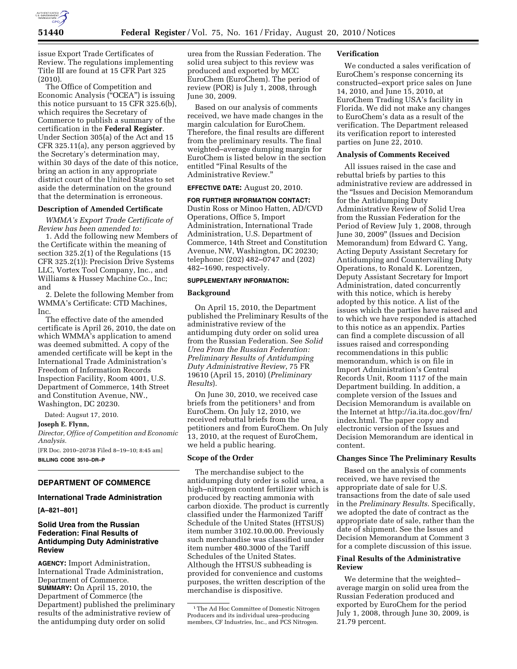

issue Export Trade Certificates of Review. The regulations implementing Title III are found at 15 CFR Part 325 (2010).

The Office of Competition and Economic Analysis (''OCEA'') is issuing this notice pursuant to 15 CFR 325.6(b), which requires the Secretary of Commerce to publish a summary of the certification in the **Federal Register**. Under Section 305(a) of the Act and 15 CFR 325.11(a), any person aggrieved by the Secretary's determination may, within 30 days of the date of this notice, bring an action in any appropriate district court of the United States to set aside the determination on the ground that the determination is erroneous.

## **Description of Amended Certificate**

*WMMA's Export Trade Certificate of Review has been amended to:* 

1. Add the following new Members of the Certificate within the meaning of section 325.2(1) of the Regulations (15 CFR 325.2(1)): Precision Drive Systems LLC, Vortex Tool Company, Inc., and Williams & Hussey Machine Co., Inc; and

2. Delete the following Member from WMMA's Certificate: CTD Machines, Inc.

The effective date of the amended certificate is April 26, 2010, the date on which WMMA's application to amend was deemed submitted. A copy of the amended certificate will be kept in the International Trade Administration's Freedom of Information Records Inspection Facility, Room 4001, U.S. Department of Commerce, 14th Street and Constitution Avenue, NW., Washington, DC 20230.

Dated: Augsut 17, 2010.

**Joseph E. Flynn,** 

*Director, Office of Competition and Economic Analysis.* 

[FR Doc. 2010–20738 Filed 8–19–10; 8:45 am] **BILLING CODE 3510–DR–P** 

# **DEPARTMENT OF COMMERCE**

## **International Trade Administration**

**[A–821–801]** 

## **Solid Urea from the Russian Federation: Final Results of Antidumping Duty Administrative Review**

**AGENCY:** Import Administration, International Trade Administration, Department of Commerce. **SUMMARY:** On April 15, 2010, the Department of Commerce (the Department) published the preliminary results of the administrative review of the antidumping duty order on solid

urea from the Russian Federation. The solid urea subject to this review was produced and exported by MCC EuroChem (EuroChem). The period of review (POR) is July 1, 2008, through June 30, 2009.

Based on our analysis of comments received, we have made changes in the margin calculation for EuroChem. Therefore, the final results are different from the preliminary results. The final weighted–average dumping margin for EuroChem is listed below in the section entitled ''Final Results of the Administrative Review.''

### **EFFECTIVE DATE:** August 20, 2010.

**FOR FURTHER INFORMATION CONTACT:**  Dustin Ross or Minoo Hatten, AD/CVD Operations, Office 5, Import Administration, International Trade Administration, U.S. Department of Commerce, 14th Street and Constitution Avenue, NW, Washington, DC 20230; telephone: (202) 482–0747 and (202) 482–1690, respectively.

## **SUPPLEMENTARY INFORMATION:**

#### **Background**

On April 15, 2010, the Department published the Preliminary Results of the administrative review of the antidumping duty order on solid urea from the Russian Federation. See *Solid Urea From the Russian Federation: Preliminary Results of Antidumping Duty Administrative Review*, 75 FR 19610 (April 15, 2010) (*Preliminary Results*).

On June 30, 2010, we received case briefs from the petitioners<sup>1</sup> and from EuroChem. On July 12, 2010, we received rebuttal briefs from the petitioners and from EuroChem. On July 13, 2010, at the request of EuroChem, we held a public hearing.

#### **Scope of the Order**

The merchandise subject to the antidumping duty order is solid urea, a high–nitrogen content fertilizer which is produced by reacting ammonia with carbon dioxide. The product is currently classified under the Harmonized Tariff Schedule of the United States (HTSUS) item number 3102.10.00.00. Previously such merchandise was classified under item number 480.3000 of the Tariff Schedules of the United States. Although the HTSUS subheading is provided for convenience and customs purposes, the written description of the merchandise is dispositive.

### **Verification**

We conducted a sales verification of EuroChem's response concerning its constructed–export price sales on June 14, 2010, and June 15, 2010, at EuroChem Trading USA's facility in Florida. We did not make any changes to EuroChem's data as a result of the verification. The Department released its verification report to interested parties on June 22, 2010.

#### **Analysis of Comments Received**

All issues raised in the case and rebuttal briefs by parties to this administrative review are addressed in the ''Issues and Decision Memorandum for the Antidumping Duty Administrative Review of Solid Urea from the Russian Federation for the Period of Review July 1, 2008, through June 30, 2009'' (Issues and Decision Memorandum) from Edward C. Yang, Acting Deputy Assistant Secretary for Antidumping and Countervailing Duty Operations, to Ronald K. Lorentzen, Deputy Assistant Secretary for Import Administration, dated concurrently with this notice, which is hereby adopted by this notice. A list of the issues which the parties have raised and to which we have responded is attached to this notice as an appendix. Parties can find a complete discussion of all issues raised and corresponding recommendations in this public memorandum, which is on file in Import Administration's Central Records Unit, Room 1117 of the main Department building. In addition, a complete version of the Issues and Decision Memorandum is available on [the Internet at http://ia.ita.doc.gov/frn/](http://ia.ita.doc.gov/frn/index.html)  index.html. The paper copy and electronic version of the Issues and Decision Memorandum are identical in content.

## **Changes Since The Preliminary Results**

Based on the analysis of comments received, we have revised the appropriate date of sale for U.S. transactions from the date of sale used in the *Preliminary Results*. Specifically, we adopted the date of contract as the appropriate date of sale, rather than the date of shipment. See the Issues and Decision Memorandum at Comment 3 for a complete discussion of this issue.

## **Final Results of the Administrative Review**

We determine that the weighted– average margin on solid urea from the Russian Federation produced and exported by EuroChem for the period July 1, 2008, through June 30, 2009, is 21.79 percent.

<sup>1</sup>The Ad Hoc Committee of Domestic Nitrogen Producers and its individual urea–producing members, CF Industries, Inc., and PCS Nitrogen.